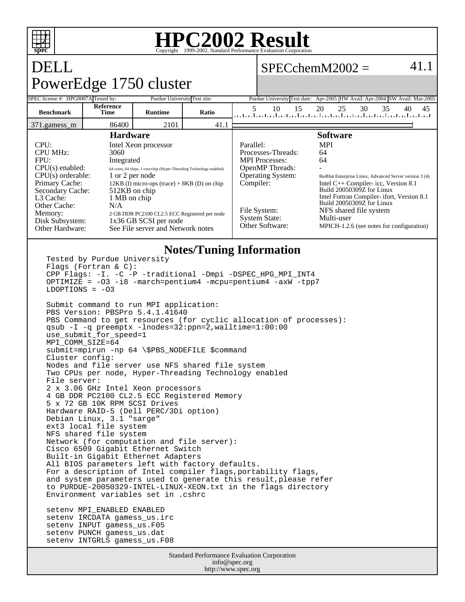

### **HPC2002 Result** Copyright  $©1999-2002$ , Stand

 $SPECchemM2002 = 41.1$ 

# DELL PowerEdge 1750 cluster

setenv INTGRLS gamess\_us.F08

|                                                                                                                                                                                                     | ب                        |                                                                                                                                                                                    |       |                                                                                                                      |                                                                                                                                                                                                                         |    |
|-----------------------------------------------------------------------------------------------------------------------------------------------------------------------------------------------------|--------------------------|------------------------------------------------------------------------------------------------------------------------------------------------------------------------------------|-------|----------------------------------------------------------------------------------------------------------------------|-------------------------------------------------------------------------------------------------------------------------------------------------------------------------------------------------------------------------|----|
| SPEC license #: HPG0007A Tested by:                                                                                                                                                                 |                          | Purdue University Test site:                                                                                                                                                       |       |                                                                                                                      | Purdue University Test date: Apr-2005 HW Avail: Apr-2004 SW Avail: Mar-2005                                                                                                                                             |    |
| <b>Benchmark</b>                                                                                                                                                                                    | <b>Reference</b><br>Time | <b>Runtime</b>                                                                                                                                                                     | Ratio | 5<br>15<br>10                                                                                                        | 25<br>30<br>35<br>20<br>40<br>المتلبط والمتلوط والمتاحيط ووالمتاعين المتاحين المتاحين المتاحين المتاحين المتاحين                                                                                                        | 45 |
| 371.gamess m                                                                                                                                                                                        | 86400                    | 2101                                                                                                                                                                               | 41.1  |                                                                                                                      |                                                                                                                                                                                                                         |    |
| <b>Hardware</b><br>CPI:<br><b>CPU MHz:</b><br>3060<br>FPU:<br>Integrated<br>$CPU(s)$ enabled:<br>$CPU(s)$ orderable:<br>Primary Cache:<br>Secondary Cache:<br>L <sub>3</sub> Cache:<br>1 MB on chip |                          | Intel Xeon processor<br>64 cores, 64 chips, 1 core/chip (Hyper-Threading Technology enabled)<br>1 or 2 per node<br>$12KB$ (I) micro-ops (trace) + 8KB (D) on chip<br>512KB on chip |       | Parallel:<br>Processes-Threads:<br><b>MPI</b> Processes:<br><b>OpenMP</b> Threads:<br>Operating System:<br>Compiler: | <b>Software</b><br><b>MPI</b><br>64<br>64<br>RedHat Enterprise Linux, Advanced Server version 3 (4)<br>Intel $C++$ Compiler-icc, Version 8.1<br>Build 20050309Z for Linux<br>Intel Fortran Compiler- ifort, Version 8.1 |    |
| Other Cache:<br>N/A<br>Memory:<br>Disk Subsystem:<br>Other Hardware:                                                                                                                                |                          | 2 GB DDR PC2100 CL2.5 ECC Registered per node<br>1x36 GB SCSI per node<br>See File server and Network notes                                                                        |       | File System:<br><b>System State:</b><br>Other Software:                                                              | Build 20050309Z for Linux<br>NFS shared file system<br>Multi-user<br>MPICH-1.2.6 (see notes for configuration)                                                                                                          |    |

#### **Notes/Tuning Information**

```
Tested by Purdue University 
Flags (Fortran & C): 
CPP Flags: -I. -C -P -traditional -Dmpi -DSPEC_HPG_MPI_INT4
OPTIMIZE = -O3 -i8 -march=pentium4 -mcpu=pentium4 -axW -tpp7
LDOPTIONS = -03Submit command to run MPI application:
PBS Version: PBSPro 5.4.1.41640
PBS Command to get resources (for cyclic allocation of processes):
qsub -I -q preemptx -lnodes=32:ppn=2,walltime=1:00:00
use_submit_for_speed=1
MPI_COMM_SIZE=64
submit=mpirun -np 64 \$PBS_NODEFILE $command
Cluster config:
Nodes and file server use NFS shared file system
Two CPUs per node, Hyper-Threading Technology enabled
File server:
2 x 3.06 GHz Intel Xeon processors
4 GB DDR PC2100 CL2.5 ECC Registered Memory
5 x 72 GB 10K RPM SCSI Drives
Hardware RAID-5 (Dell PERC/3Di option)
Debian Linux, 3.1 "sarge"
ext3 local file system
NFS shared file system
Network (for computation and file server):
Cisco 6509 Gigabit Ethernet Switch
Built-in Gigabit Ethernet Adapters
All BIOS parameters left with factory defaults.
For a description of Intel compiler flags, portability flags,
and system parameters used to generate this result, please refer
to PURDUE-20050329-INTEL-LINUX-XEON.txt in the flags directory
Environment variables set in .cshrc
setenv MPI_ENABLED ENABLED
setenv IRCDATA gamess_us.irc
setenv INPUT gamess_us.F05
setenv PUNCH gamess_us.dat
```
Standard Performance Evaluation Corporation info@spec.org http://www.spec.org